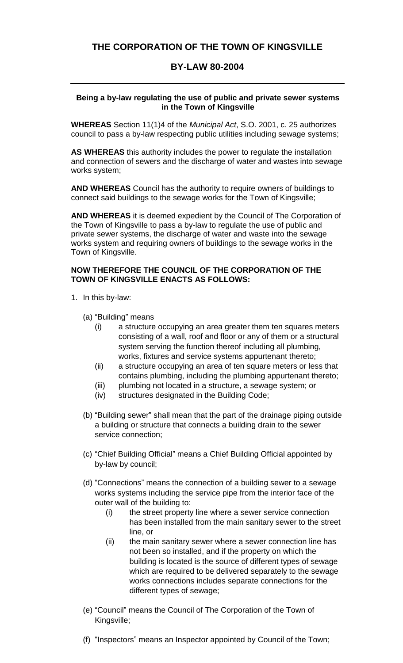# **THE CORPORATION OF THE TOWN OF KINGSVILLE**

### **BY-LAW 80-2004**

#### **Being a by-law regulating the use of public and private sewer systems in the Town of Kingsville**

**WHEREAS** Section 11(1)4 of the *Municipal Act*, S.O. 2001, c. 25 authorizes council to pass a by-law respecting public utilities including sewage systems;

**AS WHEREAS** this authority includes the power to regulate the installation and connection of sewers and the discharge of water and wastes into sewage works system;

**AND WHEREAS** Council has the authority to require owners of buildings to connect said buildings to the sewage works for the Town of Kingsville;

**AND WHEREAS** it is deemed expedient by the Council of The Corporation of the Town of Kingsville to pass a by-law to regulate the use of public and private sewer systems, the discharge of water and waste into the sewage works system and requiring owners of buildings to the sewage works in the Town of Kingsville.

#### **NOW THEREFORE THE COUNCIL OF THE CORPORATION OF THE TOWN OF KINGSVILLE ENACTS AS FOLLOWS:**

- 1. In this by-law:
	- (a) "Building" means
		- (i) a structure occupying an area greater them ten squares meters consisting of a wall, roof and floor or any of them or a structural system serving the function thereof including all plumbing, works, fixtures and service systems appurtenant thereto;
		- (ii) a structure occupying an area of ten square meters or less that contains plumbing, including the plumbing appurtenant thereto;
		- (iii) plumbing not located in a structure, a sewage system; or
		- (iv) structures designated in the Building Code;
	- (b) "Building sewer" shall mean that the part of the drainage piping outside a building or structure that connects a building drain to the sewer service connection;
	- (c) "Chief Building Official" means a Chief Building Official appointed by by-law by council;
	- (d) "Connections" means the connection of a building sewer to a sewage works systems including the service pipe from the interior face of the outer wall of the building to:
		- (i) the street property line where a sewer service connection has been installed from the main sanitary sewer to the street line, or
		- (ii) the main sanitary sewer where a sewer connection line has not been so installed, and if the property on which the building is located is the source of different types of sewage which are required to be delivered separately to the sewage works connections includes separate connections for the different types of sewage;
	- (e) "Council" means the Council of The Corporation of the Town of Kingsville;
	- (f) "Inspectors" means an Inspector appointed by Council of the Town;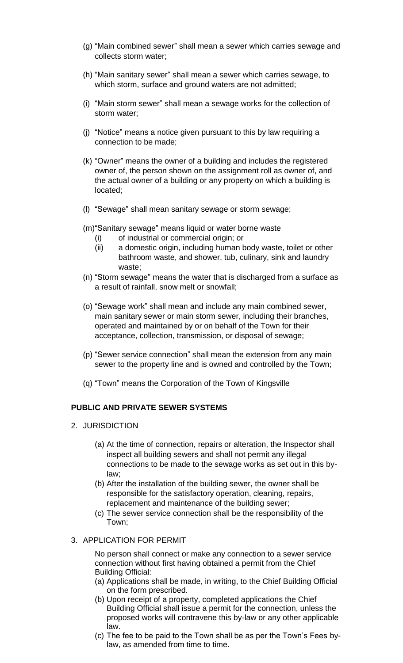- (g) "Main combined sewer" shall mean a sewer which carries sewage and collects storm water;
- (h) "Main sanitary sewer" shall mean a sewer which carries sewage, to which storm, surface and ground waters are not admitted;
- (i) "Main storm sewer" shall mean a sewage works for the collection of storm water;
- (j) "Notice" means a notice given pursuant to this by law requiring a connection to be made;
- (k) "Owner" means the owner of a building and includes the registered owner of, the person shown on the assignment roll as owner of, and the actual owner of a building or any property on which a building is located;
- (l) "Sewage" shall mean sanitary sewage or storm sewage;
- (m)"Sanitary sewage" means liquid or water borne waste
	- (i) of industrial or commercial origin; or
	- (ii) a domestic origin, including human body waste, toilet or other bathroom waste, and shower, tub, culinary, sink and laundry waste;
- (n) "Storm sewage" means the water that is discharged from a surface as a result of rainfall, snow melt or snowfall;
- (o) "Sewage work" shall mean and include any main combined sewer, main sanitary sewer or main storm sewer, including their branches, operated and maintained by or on behalf of the Town for their acceptance, collection, transmission, or disposal of sewage;
- (p) "Sewer service connection" shall mean the extension from any main sewer to the property line and is owned and controlled by the Town;
- (q) "Town" means the Corporation of the Town of Kingsville

### **PUBLIC AND PRIVATE SEWER SYSTEMS**

- 2. JURISDICTION
	- (a) At the time of connection, repairs or alteration, the Inspector shall inspect all building sewers and shall not permit any illegal connections to be made to the sewage works as set out in this bylaw;
	- (b) After the installation of the building sewer, the owner shall be responsible for the satisfactory operation, cleaning, repairs, replacement and maintenance of the building sewer;
	- (c) The sewer service connection shall be the responsibility of the Town;

#### 3. APPLICATION FOR PERMIT

No person shall connect or make any connection to a sewer service connection without first having obtained a permit from the Chief Building Official:

- (a) Applications shall be made, in writing, to the Chief Building Official on the form prescribed.
- (b) Upon receipt of a property, completed applications the Chief Building Official shall issue a permit for the connection, unless the proposed works will contravene this by-law or any other applicable law.
- (c) The fee to be paid to the Town shall be as per the Town's Fees bylaw, as amended from time to time.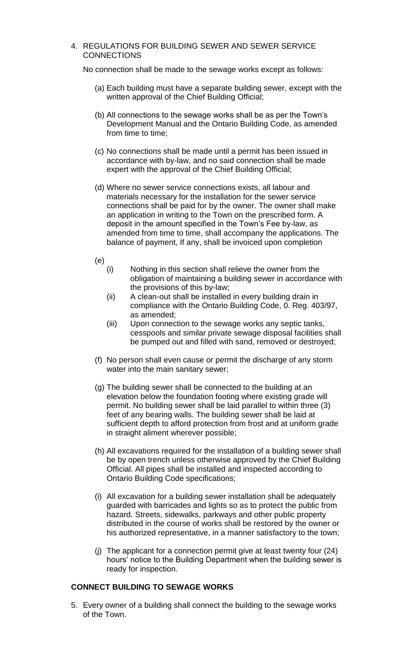4. REGULATIONS FOR BUILDING SEWER AND SEWER SERVICE **CONNECTIONS** 

No connection shall be made to the sewage works except as follows:

- (a) Each building must have a separate building sewer, except with the written approval of the Chief Building Official;
- (b) All connections to the sewage works shall be as per the Town's Development Manual and the Ontario Building Code, as amended from time to time;
- (c) No connections shall be made until a permit has been issued in accordance with by-law, and no said connection shall be made expert with the approval of the Chief Building Official;
- (d) Where no sewer service connections exists, all labour and materials necessary for the installation for the sewer service connections shall be paid for by the owner. The owner shall make an application in writing to the Town on the prescribed form. A deposit in the amount specified in the Town's Fee by-law, as amended from time to time, shall accompany the applications. The balance of payment, If any, shall be invoiced upon completion
- (e)
	- (i) Nothing in this section shall relieve the owner from the obligation of maintaining a building sewer in accordance with the provisions of this by-law;
	- (ii) A clean-out shall be installed in every building drain in compliance with the Ontario Building Code, 0. Reg. 403/97, as amended;
	- (iii) Upon connection to the sewage works any septic tanks, cesspools and similar private sewage disposal facilities shall be pumped out and filled with sand, removed or destroyed;
- (f) No person shall even cause or permit the discharge of any storm water into the main sanitary sewer;
- (g) The building sewer shall be connected to the building at an elevation below the foundation footing where existing grade will permit. No building sewer shall be laid parallel to within three (3) feet of any bearing walls. The building sewer shall be laid at sufficient depth to afford protection from frost and at uniform grade in straight aliment wherever possible;
- (h) All excavations required for the installation of a building sewer shall be by open trench unless otherwise approved by the Chief Building Official. All pipes shall be installed and inspected according to Ontario Building Code specifications;
- (i) All excavation for a building sewer installation shall be adequately guarded with barricades and lights so as to protect the public from hazard. Streets, sidewalks, parkways and other public property distributed in the course of works shall be restored by the owner or his authorized representative, in a manner satisfactory to the town;
- (j) The applicant for a connection permit give at least twenty four (24) hours' notice to the Building Department when the building sewer is ready for inspection.

### **CONNECT BUILDING TO SEWAGE WORKS**

5. Every owner of a building shall connect the building to the sewage works of the Town.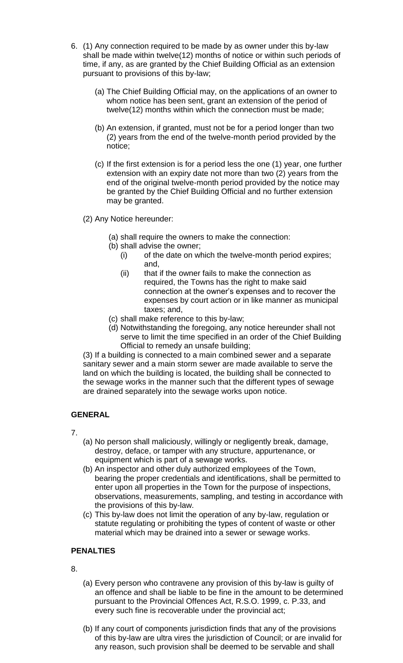- 6. (1) Any connection required to be made by as owner under this by-law shall be made within twelve(12) months of notice or within such periods of time, if any, as are granted by the Chief Building Official as an extension pursuant to provisions of this by-law;
	- (a) The Chief Building Official may, on the applications of an owner to whom notice has been sent, grant an extension of the period of twelve(12) months within which the connection must be made;
	- (b) An extension, if granted, must not be for a period longer than two (2) years from the end of the twelve-month period provided by the notice;
	- (c) If the first extension is for a period less the one (1) year, one further extension with an expiry date not more than two (2) years from the end of the original twelve-month period provided by the notice may be granted by the Chief Building Official and no further extension may be granted.
	- (2) Any Notice hereunder:
		- (a) shall require the owners to make the connection:
		- (b) shall advise the owner;
			- (i) of the date on which the twelve-month period expires; and,
			- (ii) that if the owner fails to make the connection as required, the Towns has the right to make said connection at the owner's expenses and to recover the expenses by court action or in like manner as municipal taxes; and,
		- (c) shall make reference to this by-law;
		- (d) Notwithstanding the foregoing, any notice hereunder shall not serve to limit the time specified in an order of the Chief Building Official to remedy an unsafe building;

(3) If a building is connected to a main combined sewer and a separate sanitary sewer and a main storm sewer are made available to serve the land on which the building is located, the building shall be connected to the sewage works in the manner such that the different types of sewage are drained separately into the sewage works upon notice.

## **GENERAL**

- 7.
- (a) No person shall maliciously, willingly or negligently break, damage, destroy, deface, or tamper with any structure, appurtenance, or equipment which is part of a sewage works.
- (b) An inspector and other duly authorized employees of the Town, bearing the proper credentials and identifications, shall be permitted to enter upon all properties in the Town for the purpose of inspections, observations, measurements, sampling, and testing in accordance with the provisions of this by-law.
- (c) This by-law does not limit the operation of any by-law, regulation or statute regulating or prohibiting the types of content of waste or other material which may be drained into a sewer or sewage works.

### **PENALTIES**

8.

- (a) Every person who contravene any provision of this by-law is guilty of an offence and shall be liable to be fine in the amount to be determined pursuant to the Provincial Offences Act, R.S.O. 1999, c. P.33, and every such fine is recoverable under the provincial act;
- (b) If any court of components jurisdiction finds that any of the provisions of this by-law are ultra vires the jurisdiction of Council; or are invalid for any reason, such provision shall be deemed to be servable and shall